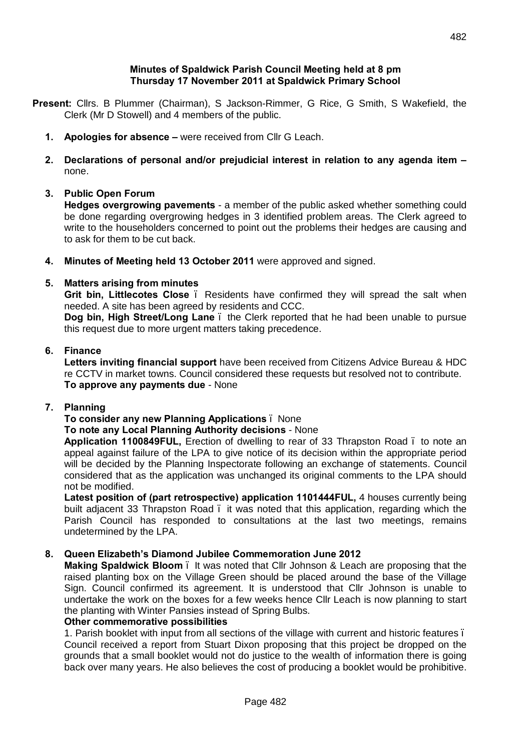#### **Minutes of Spaldwick Parish Council Meeting held at 8 pm Thursday 17 November 2011 at Spaldwick Primary School**

- **Present:** Cllrs. B Plummer (Chairman), S Jackson-Rimmer, G Rice, G Smith, S Wakefield, the Clerk (Mr D Stowell) and 4 members of the public.
	- **1. Apologies for absence –** were received from Cllr G Leach.
	- **2. Declarations of personal and/or prejudicial interest in relation to any agenda item –** none.

# **3. Public Open Forum**

**Hedges overgrowing pavements** - a member of the public asked whether something could be done regarding overgrowing hedges in 3 identified problem areas. The Clerk agreed to write to the householders concerned to point out the problems their hedges are causing and to ask for them to be cut back.

**4. Minutes of Meeting held 13 October 2011** were approved and signed.

# **5. Matters arising from minutes**

**Grit bin, Littlecotes Close** – Residents have confirmed they will spread the salt when needed. A site has been agreed by residents and CCC.

**Dog bin, High Street/Long Lane** . the Clerk reported that he had been unable to pursue this request due to more urgent matters taking precedence.

### **6. Finance**

**Letters inviting financial support** have been received from Citizens Advice Bureau & HDC re CCTV in market towns. Council considered these requests but resolved not to contribute. **To approve any payments due** - None

# **7. Planning**

# **To consider any new Planning Applications** – None

### **To note any Local Planning Authority decisions** - None

**Application 1100849FUL,** Erection of dwelling to rear of 33 Thrapston Road – to note an appeal against failure of the LPA to give notice of its decision within the appropriate period will be decided by the Planning Inspectorate following an exchange of statements. Council considered that as the application was unchanged its original comments to the LPA should not be modified.

**Latest position of (part retrospective) application 1101444FUL,** 4 houses currently being built adjacent 33 Thrapston Road. it was noted that this application, regarding which the Parish Council has responded to consultations at the last two meetings, remains undetermined by the LPA.

### **8. Queen Elizabeth's Diamond Jubilee Commemoration June 2012**

**Making Spaldwick Bloom** – It was noted that Cllr Johnson & Leach are proposing that the raised planting box on the Village Green should be placed around the base of the Village Sign. Council confirmed its agreement. It is understood that Cllr Johnson is unable to undertake the work on the boxes for a few weeks hence Cllr Leach is now planning to start the planting with Winter Pansies instead of Spring Bulbs.

### **Other commemorative possibilities**

1. Parish booklet with input from all sections of the village with current and historic features – Council received a report from Stuart Dixon proposing that this project be dropped on the grounds that a small booklet would not do justice to the wealth of information there is going back over many years. He also believes the cost of producing a booklet would be prohibitive.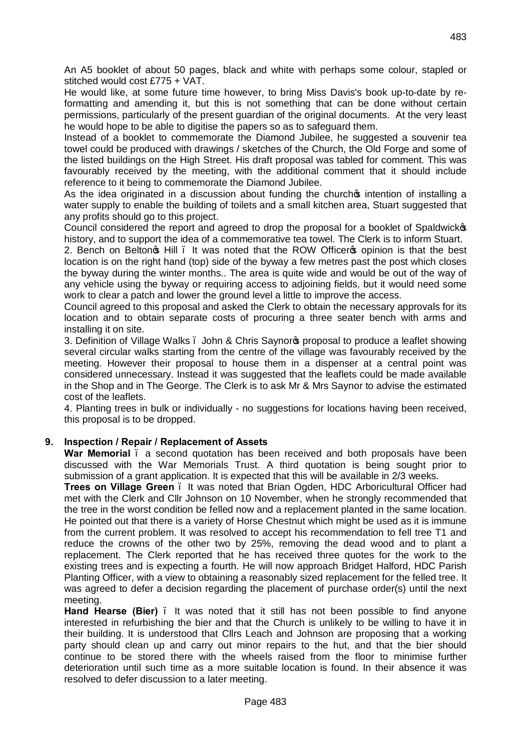483

An A5 booklet of about 50 pages, black and white with perhaps some colour, stapled or stitched would cost £775 + VAT.

He would like, at some future time however, to bring Miss Davis's book up-to-date by reformatting and amending it, but this is not something that can be done without certain permissions, particularly of the present guardian of the original documents. At the very least he would hope to be able to digitise the papers so as to safeguard them.

Instead of a booklet to commemorate the Diamond Jubilee, he suggested a souvenir tea towel could be produced with drawings / sketches of the Church, the Old Forge and some of the listed buildings on the High Street. His draft proposal was tabled for comment. This was favourably received by the meeting, with the additional comment that it should include reference to it being to commemorate the Diamond Jubilee.

As the idea originated in a discussion about funding the church intention of installing a water supply to enable the building of toilets and a small kitchen area, Stuart suggested that any profits should go to this project.

Council considered the report and agreed to drop the proposal for a booklet of Spaldwick history, and to support the idea of a commemorative tea towel. The Clerk is to inform Stuart.

2. Bench on Belton s Hill . It was noted that the ROW Officer s opinion is that the best location is on the right hand (top) side of the byway a few metres past the post which closes the byway during the winter months.. The area is quite wide and would be out of the way of any vehicle using the byway or requiring access to adjoining fields, but it would need some work to clear a patch and lower the ground level a little to improve the access.

Council agreed to this proposal and asked the Clerk to obtain the necessary approvals for its location and to obtain separate costs of procuring a three seater bench with arms and installing it on site.

3. Definition of Village Walks – John & Chris Saynor's proposal to produce a leaflet showing several circular walks starting from the centre of the village was favourably received by the meeting. However their proposal to house them in a dispenser at a central point was considered unnecessary. Instead it was suggested that the leaflets could be made available in the Shop and in The George. The Clerk is to ask Mr & Mrs Saynor to advise the estimated cost of the leaflets.

4. Planting trees in bulk or individually - no suggestions for locations having been received, this proposal is to be dropped.

# **9. Inspection / Repair / Replacement of Assets**

**War Memorial** – a second quotation has been received and both proposals have been discussed with the War Memorials Trust. A third quotation is being sought prior to submission of a grant application. It is expected that this will be available in 2/3 weeks.

**Trees on Village Green** – It was noted that Brian Ogden, HDC Arboricultural Officer had met with the Clerk and Cllr Johnson on 10 November, when he strongly recommended that the tree in the worst condition be felled now and a replacement planted in the same location. He pointed out that there is a variety of Horse Chestnut which might be used as it is immune from the current problem. It was resolved to accept his recommendation to fell tree T1 and reduce the crowns of the other two by 25%, removing the dead wood and to plant a replacement. The Clerk reported that he has received three quotes for the work to the existing trees and is expecting a fourth. He will now approach Bridget Halford, HDC Parish Planting Officer, with a view to obtaining a reasonably sized replacement for the felled tree. It was agreed to defer a decision regarding the placement of purchase order(s) until the next meeting.

**Hand Hearse (Bier)** – It was noted that it still has not been possible to find anyone interested in refurbishing the bier and that the Church is unlikely to be willing to have it in their building. It is understood that Cllrs Leach and Johnson are proposing that a working party should clean up and carry out minor repairs to the hut, and that the bier should continue to be stored there with the wheels raised from the floor to minimise further deterioration until such time as a more suitable location is found. In their absence it was resolved to defer discussion to a later meeting.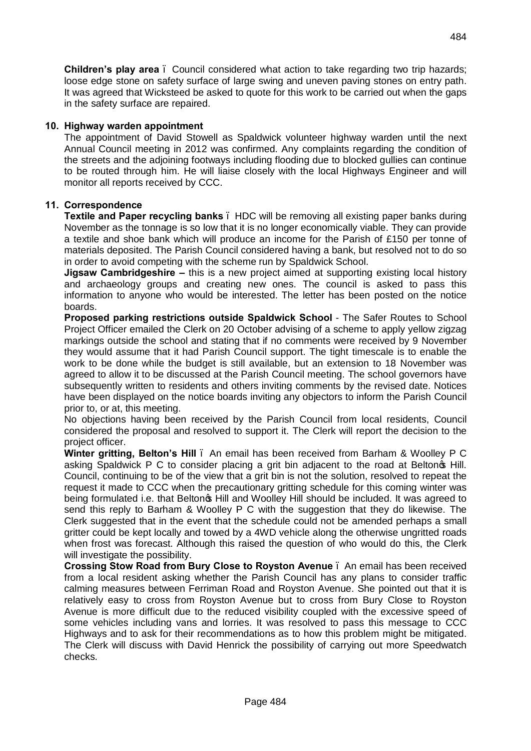**Children's play area** – Council considered what action to take regarding two trip hazards; loose edge stone on safety surface of large swing and uneven paving stones on entry path. It was agreed that Wicksteed be asked to quote for this work to be carried out when the gaps in the safety surface are repaired.

# **10. Highway warden appointment**

The appointment of David Stowell as Spaldwick volunteer highway warden until the next Annual Council meeting in 2012 was confirmed. Any complaints regarding the condition of the streets and the adjoining footways including flooding due to blocked gullies can continue to be routed through him. He will liaise closely with the local Highways Engineer and will monitor all reports received by CCC.

# **11. Correspondence**

**Textile and Paper recycling banks** . HDC will be removing all existing paper banks during November as the tonnage is so low that it is no longer economically viable. They can provide a textile and shoe bank which will produce an income for the Parish of £150 per tonne of materials deposited. The Parish Council considered having a bank, but resolved not to do so in order to avoid competing with the scheme run by Spaldwick School.

**Jigsaw Cambridgeshire –** this is a new project aimed at supporting existing local history and archaeology groups and creating new ones. The council is asked to pass this information to anyone who would be interested. The letter has been posted on the notice boards.

**Proposed parking restrictions outside Spaldwick School** - The Safer Routes to School Project Officer emailed the Clerk on 20 October advising of a scheme to apply yellow zigzag markings outside the school and stating that if no comments were received by 9 November they would assume that it had Parish Council support. The tight timescale is to enable the work to be done while the budget is still available, but an extension to 18 November was agreed to allow it to be discussed at the Parish Council meeting. The school governors have subsequently written to residents and others inviting comments by the revised date. Notices have been displayed on the notice boards inviting any objectors to inform the Parish Council prior to, or at, this meeting.

No objections having been received by the Parish Council from local residents, Council considered the proposal and resolved to support it. The Clerk will report the decision to the project officer.

**Winter gritting, Belton's Hill** – An email has been received from Barham & Woolley P C asking Spaldwick P C to consider placing a grit bin adjacent to the road at Beltonos Hill. Council, continuing to be of the view that a grit bin is not the solution, resolved to repeat the request it made to CCC when the precautionary gritting schedule for this coming winter was being formulated i.e. that Beltongs Hill and Woolley Hill should be included. It was agreed to send this reply to Barham & Woolley P C with the suggestion that they do likewise. The Clerk suggested that in the event that the schedule could not be amended perhaps a small gritter could be kept locally and towed by a 4WD vehicle along the otherwise ungritted roads when frost was forecast. Although this raised the question of who would do this, the Clerk will investigate the possibility.

**Crossing Stow Road from Bury Close to Royston Avenue** – An email has been received from a local resident asking whether the Parish Council has any plans to consider traffic calming measures between Ferriman Road and Royston Avenue. She pointed out that it is relatively easy to cross from Royston Avenue but to cross from Bury Close to Royston Avenue is more difficult due to the reduced visibility coupled with the excessive speed of some vehicles including vans and lorries. It was resolved to pass this message to CCC Highways and to ask for their recommendations as to how this problem might be mitigated. The Clerk will discuss with David Henrick the possibility of carrying out more Speedwatch checks.